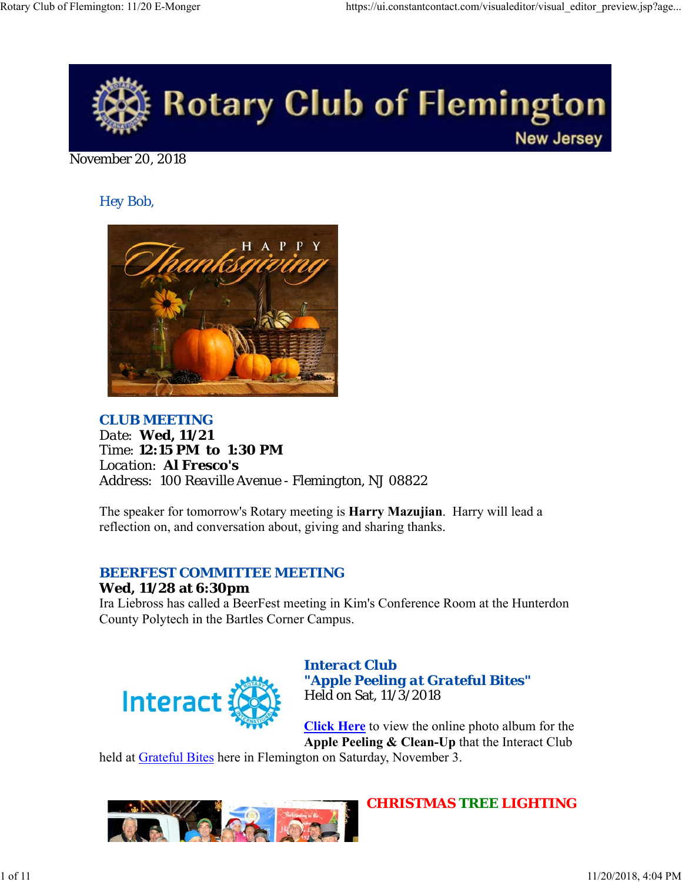

November 20, 2018

*Hey Bob,* 



*CLUB MEETING Date: Wed, 11/21 Time: 12:15 PM to 1:30 PM Location: Al Fresco's Address: 100 Reaville Avenue - Flemington, NJ 08822*

The speaker for tomorrow's Rotary meeting is **Harry Mazujian**. Harry will lead a reflection on, and conversation about, giving and sharing thanks.

# *BEERFEST COMMITTEE MEETING*

## **Wed, 11/28 at 6:30pm**

Ira Liebross has called a BeerFest meeting in Kim's Conference Room at the Hunterdon County Polytech in the Bartles Corner Campus.



*Interact Club "Apple Peeling at Grateful Bites"* Held on Sat, 11/3/2018

**Click Here** to view the online photo album for the **Apple Peeling & Clean-Up** that the Interact Club

held at Grateful Bites here in Flemington on Saturday, November 3.



*CHRISTMAS TREE LIGHTING*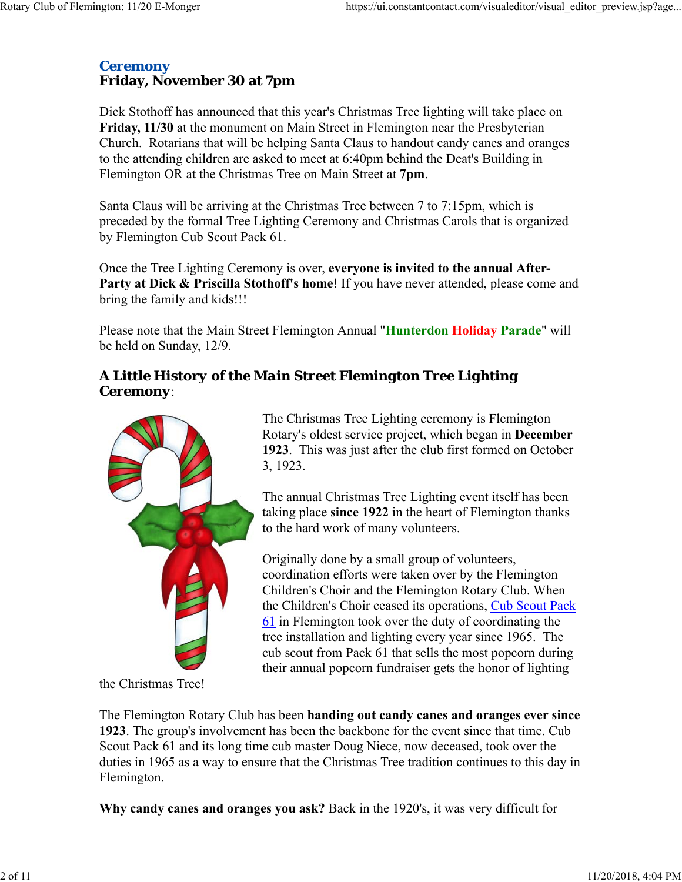## *Ceremony* **Friday, November 30 at 7pm**

Dick Stothoff has announced that this year's Christmas Tree lighting will take place on **Friday, 11/30** at the monument on Main Street in Flemington near the Presbyterian Church. Rotarians that will be helping Santa Claus to handout candy canes and oranges to the attending children are asked to meet at 6:40pm behind the Deat's Building in Flemington OR at the Christmas Tree on Main Street at **7pm**.

Santa Claus will be arriving at the Christmas Tree between 7 to 7:15pm, which is preceded by the formal Tree Lighting Ceremony and Christmas Carols that is organized by Flemington Cub Scout Pack 61.

Once the Tree Lighting Ceremony is over, **everyone is invited to the annual After-**Party at Dick & Priscilla Stothoff's home! If you have never attended, please come and bring the family and kids!!!

Please note that the Main Street Flemington Annual "**Hunterdon Holiday Parade**" will be held on Sunday, 12/9.

## *A Little History of the Main Street Flemington Tree Lighting Ceremony*:



The Christmas Tree Lighting ceremony is Flemington Rotary's oldest service project, which began in **December 1923**. This was just after the club first formed on October 3, 1923.

The annual Christmas Tree Lighting event itself has been taking place **since 1922** in the heart of Flemington thanks to the hard work of many volunteers.

Originally done by a small group of volunteers, coordination efforts were taken over by the Flemington Children's Choir and the Flemington Rotary Club. When the Children's Choir ceased its operations, Cub Scout Pack 61 in Flemington took over the duty of coordinating the tree installation and lighting every year since 1965. The cub scout from Pack 61 that sells the most popcorn during their annual popcorn fundraiser gets the honor of lighting

the Christmas Tree!

The Flemington Rotary Club has been **handing out candy canes and oranges ever since 1923**. The group's involvement has been the backbone for the event since that time. Cub Scout Pack 61 and its long time cub master Doug Niece, now deceased, took over the duties in 1965 as a way to ensure that the Christmas Tree tradition continues to this day in Flemington.

**Why candy canes and oranges you ask?** Back in the 1920's, it was very difficult for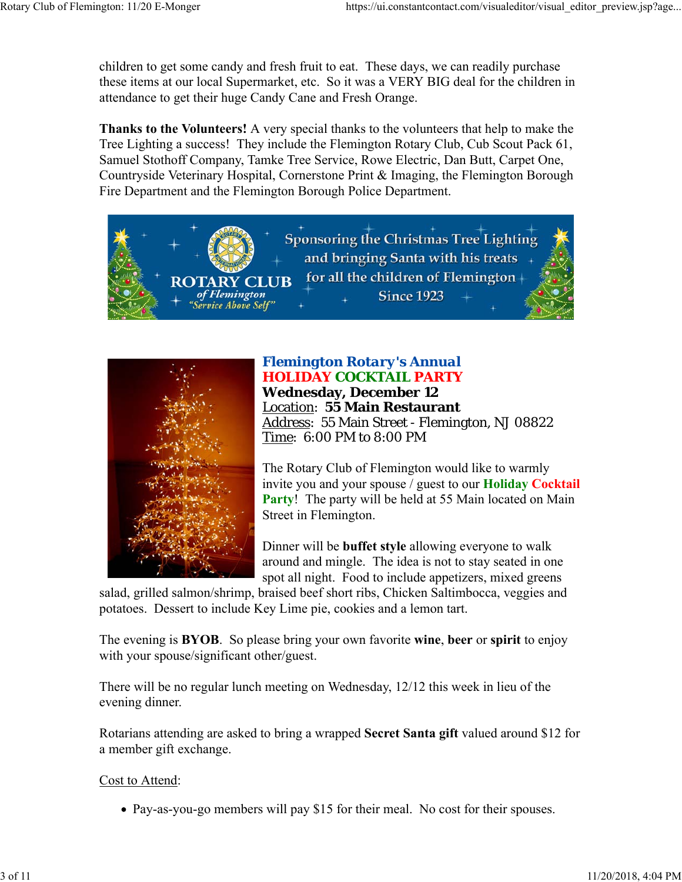children to get some candy and fresh fruit to eat. These days, we can readily purchase these items at our local Supermarket, etc. So it was a VERY BIG deal for the children in attendance to get their huge Candy Cane and Fresh Orange.

**Thanks to the Volunteers!** A very special thanks to the volunteers that help to make the Tree Lighting a success! They include the Flemington Rotary Club, Cub Scout Pack 61, Samuel Stothoff Company, Tamke Tree Service, Rowe Electric, Dan Butt, Carpet One, Countryside Veterinary Hospital, Cornerstone Print & Imaging, the Flemington Borough Fire Department and the Flemington Borough Police Department.





# *Flemington Rotary's Annual HOLIDAY COCKTAIL PARTY*

**Wednesday, December 12** Location: **55 Main Restaurant** Address: 55 Main Street - Flemington, NJ 08822 Time: 6:00 PM to 8:00 PM

The Rotary Club of Flemington would like to warmly invite you and your spouse / guest to our **Holiday Cocktail Party!** The party will be held at 55 Main located on Main Street in Flemington.

Dinner will be **buffet style** allowing everyone to walk around and mingle. The idea is not to stay seated in one spot all night. Food to include appetizers, mixed greens

salad, grilled salmon/shrimp, braised beef short ribs, Chicken Saltimbocca, veggies and potatoes. Dessert to include Key Lime pie, cookies and a lemon tart.

The evening is **BYOB**. So please bring your own favorite **wine**, **beer** or **spirit** to enjoy with your spouse/significant other/guest.

There will be no regular lunch meeting on Wednesday, 12/12 this week in lieu of the evening dinner.

Rotarians attending are asked to bring a wrapped **Secret Santa gift** valued around \$12 for a member gift exchange.

#### Cost to Attend:

• Pay-as-you-go members will pay \$15 for their meal. No cost for their spouses.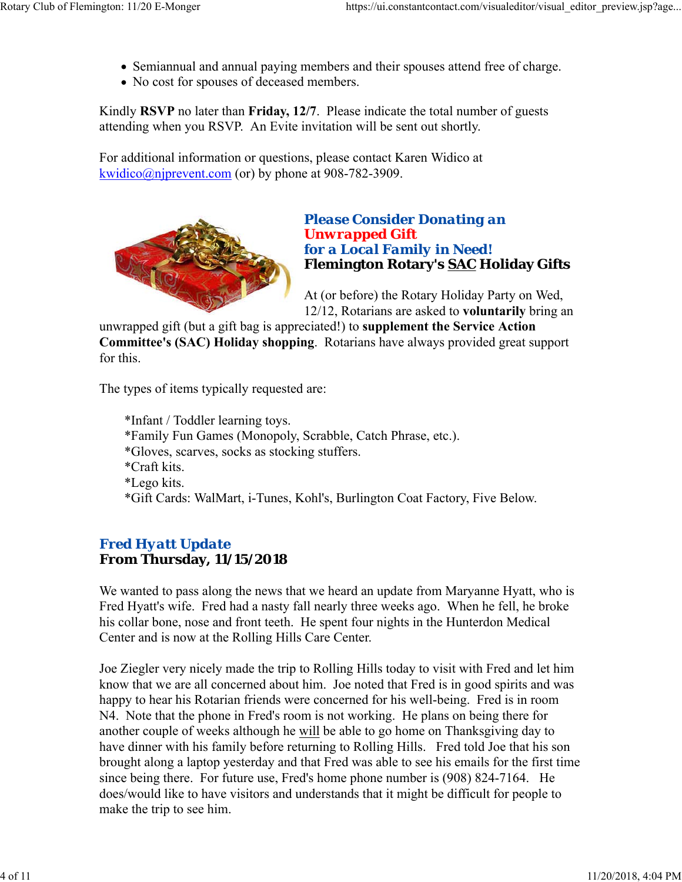- Semiannual and annual paying members and their spouses attend free of charge.
- No cost for spouses of deceased members.

Kindly **RSVP** no later than **Friday, 12/7**. Please indicate the total number of guests attending when you RSVP. An Evite invitation will be sent out shortly.

For additional information or questions, please contact Karen Widico at kwidico@njprevent.com (or) by phone at 908-782-3909.



## *Please Consider Donating an Unwrapped Gift for a Local Family in Need!* **Flemington Rotary's SAC Holiday Gifts**

At (or before) the Rotary Holiday Party on Wed, 12/12, Rotarians are asked to **voluntarily** bring an

unwrapped gift (but a gift bag is appreciated!) to **supplement the Service Action Committee's (SAC) Holiday shopping**. Rotarians have always provided great support for this.

The types of items typically requested are:

\*Infant / Toddler learning toys. \*Family Fun Games (Monopoly, Scrabble, Catch Phrase, etc.). \*Gloves, scarves, socks as stocking stuffers. \*Craft kits. \*Lego kits. \*Gift Cards: WalMart, i-Tunes, Kohl's, Burlington Coat Factory, Five Below.

## *Fred Hyatt Update* **From Thursday, 11/15/2018**

We wanted to pass along the news that we heard an update from Maryanne Hyatt, who is Fred Hyatt's wife. Fred had a nasty fall nearly three weeks ago. When he fell, he broke his collar bone, nose and front teeth. He spent four nights in the Hunterdon Medical Center and is now at the Rolling Hills Care Center.

Joe Ziegler very nicely made the trip to Rolling Hills today to visit with Fred and let him know that we are all concerned about him. Joe noted that Fred is in good spirits and was happy to hear his Rotarian friends were concerned for his well-being. Fred is in room N4. Note that the phone in Fred's room is not working. He plans on being there for another couple of weeks although he will be able to go home on Thanksgiving day to have dinner with his family before returning to Rolling Hills. Fred told Joe that his son brought along a laptop yesterday and that Fred was able to see his emails for the first time since being there. For future use, Fred's home phone number is (908) 824-7164. He does/would like to have visitors and understands that it might be difficult for people to make the trip to see him.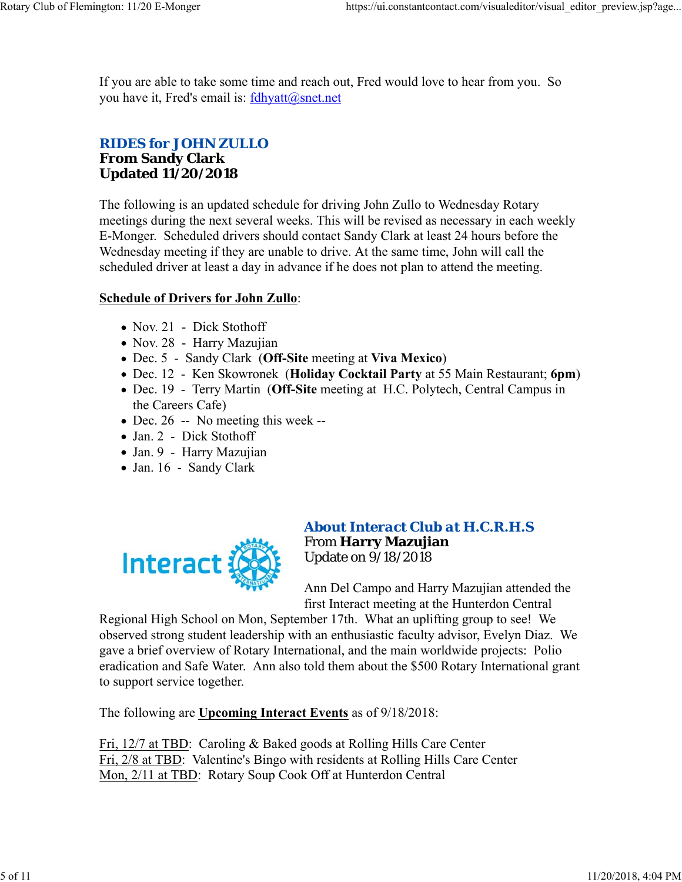If you are able to take some time and reach out, Fred would love to hear from you. So you have it, Fred's email is: fdhyatt@snet.net

## *RIDES for JOHN ZULLO* **From Sandy Clark Updated 11/20/2018**

The following is an updated schedule for driving John Zullo to Wednesday Rotary meetings during the next several weeks. This will be revised as necessary in each weekly E-Monger. Scheduled drivers should contact Sandy Clark at least 24 hours before the Wednesday meeting if they are unable to drive. At the same time, John will call the scheduled driver at least a day in advance if he does not plan to attend the meeting.

### **Schedule of Drivers for John Zullo**:

- Nov. 21 Dick Stothoff
- Nov. 28 Harry Mazujian
- Dec. 5 Sandy Clark (**Off-Site** meeting at **Viva Mexico**)
- Dec. 12 Ken Skowronek (**Holiday Cocktail Party** at 55 Main Restaurant; **6pm**)
- Dec. 19 Terry Martin (**Off-Site** meeting at H.C. Polytech, Central Campus in the Careers Cafe)
- Dec. 26 -- No meeting this week --
- Jan. 2 Dick Stothoff
- Jan. 9 Harry Mazujian
- Jan. 16 Sandy Clark



## *About Interact Club at H.C.R.H.S* From **Harry Mazujian** Update on 9/18/2018

Ann Del Campo and Harry Mazujian attended the first Interact meeting at the Hunterdon Central

Regional High School on Mon, September 17th. What an uplifting group to see! We observed strong student leadership with an enthusiastic faculty advisor, Evelyn Diaz. We gave a brief overview of Rotary International, and the main worldwide projects: Polio eradication and Safe Water. Ann also told them about the \$500 Rotary International grant to support service together.

The following are **Upcoming Interact Events** as of 9/18/2018:

Fri, 12/7 at TBD: Caroling & Baked goods at Rolling Hills Care Center Fri, 2/8 at TBD: Valentine's Bingo with residents at Rolling Hills Care Center Mon, 2/11 at TBD: Rotary Soup Cook Off at Hunterdon Central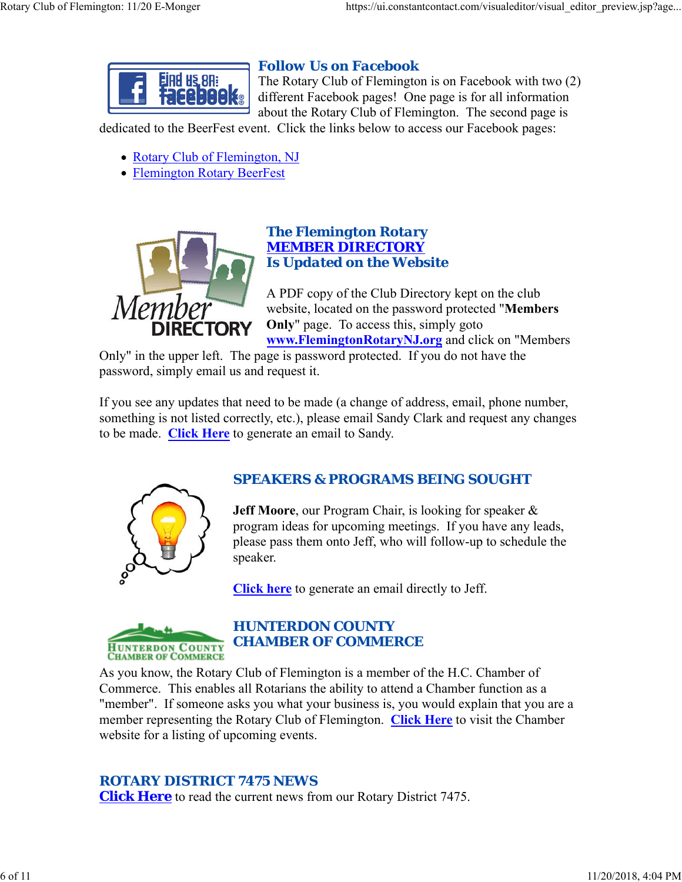

# *Follow Us on Facebook*

The Rotary Club of Flemington is on Facebook with two (2) different Facebook pages! One page is for all information about the Rotary Club of Flemington. The second page is

dedicated to the BeerFest event. Click the links below to access our Facebook pages:

- Rotary Club of Flemington, NJ
- Flemington Rotary BeerFest



## *The Flemington Rotary MEMBER DIRECTORY Is Updated on the Website*

A PDF copy of the Club Directory kept on the club website, located on the password protected "**Members Only**" page. To access this, simply goto **www.FlemingtonRotaryNJ.org** and click on "Members

Only" in the upper left. The page is password protected. If you do not have the password, simply email us and request it.

If you see any updates that need to be made (a change of address, email, phone number, something is not listed correctly, etc.), please email Sandy Clark and request any changes to be made. **Click Here** to generate an email to Sandy.



# *SPEAKERS & PROGRAMS BEING SOUGHT*

**Jeff Moore**, our Program Chair, is looking for speaker & program ideas for upcoming meetings. If you have any leads, please pass them onto Jeff, who will follow-up to schedule the speaker.

**Click here** to generate an email directly to Jeff.



# *HUNTERDON COUNTY CHAMBER OF COMMERCE*

As you know, the Rotary Club of Flemington is a member of the H.C. Chamber of Commerce. This enables all Rotarians the ability to attend a Chamber function as a "member". If someone asks you what your business is, you would explain that you are a member representing the Rotary Club of Flemington. **Click Here** to visit the Chamber website for a listing of upcoming events.

# *ROTARY DISTRICT 7475 NEWS*

**Click Here** to read the current news from our Rotary District 7475.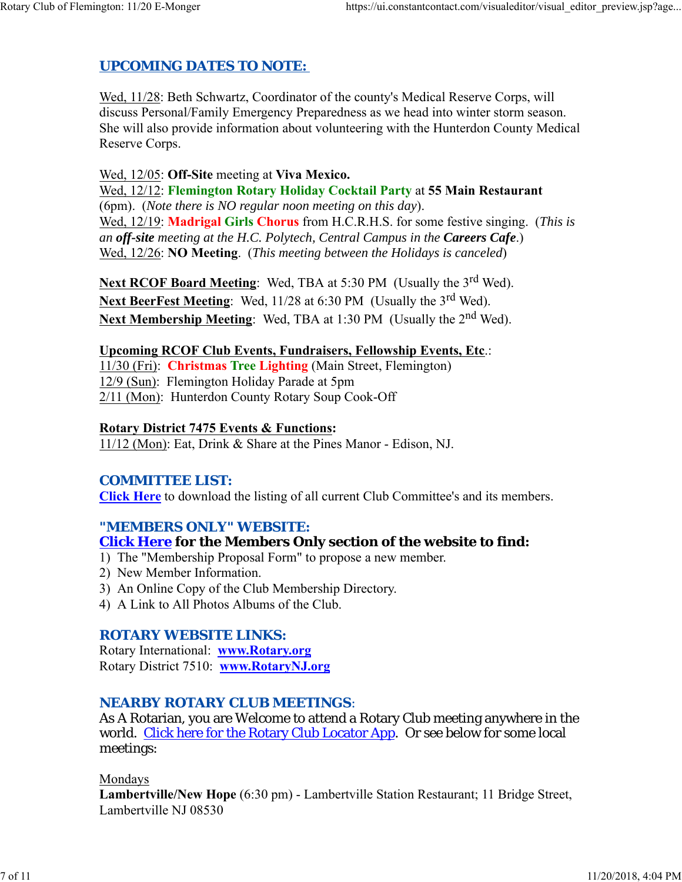# *UPCOMING DATES TO NOTE:*

Wed, 11/28: Beth Schwartz, Coordinator of the county's Medical Reserve Corps, will discuss Personal/Family Emergency Preparedness as we head into winter storm season. She will also provide information about volunteering with the Hunterdon County Medical Reserve Corps.

Wed, 12/05: **Off-Site** meeting at **Viva Mexico.** Wed, 12/12: **Flemington Rotary Holiday Cocktail Party** at **55 Main Restaurant** (6pm). (*Note there is NO regular noon meeting on this day*). Wed, 12/19: **Madrigal Girls Chorus** from H.C.R.H.S. for some festive singing. (*This is an off-site meeting at the H.C. Polytech, Central Campus in the Careers Cafe*.) Wed, 12/26: **NO Meeting**. (*This meeting between the Holidays is canceled*)

Next RCOF Board Meeting: Wed, TBA at 5:30 PM (Usually the 3<sup>rd</sup> Wed). **Next BeerFest Meeting:** Wed, 11/28 at 6:30 PM (Usually the 3<sup>rd</sup> Wed). Next Membership Meeting: Wed, TBA at 1:30 PM (Usually the 2<sup>nd</sup> Wed).

#### **Upcoming RCOF Club Events, Fundraisers, Fellowship Events, Etc**.:

11/30 (Fri): **Christmas Tree Lighting** (Main Street, Flemington) 12/9 (Sun): Flemington Holiday Parade at 5pm 2/11 (Mon): Hunterdon County Rotary Soup Cook-Off

#### **Rotary District 7475 Events & Functions:**

11/12 (Mon): Eat, Drink & Share at the Pines Manor - Edison, NJ.

#### *COMMITTEE LIST:*

**Click Here** to download the listing of all current Club Committee's and its members.

#### *"MEMBERS ONLY" WEBSITE:*

#### **Click Here for the Members Only section of the website to find:**

- 1) The "Membership Proposal Form" to propose a new member.
- 2) New Member Information.
- 3) An Online Copy of the Club Membership Directory.
- 4) A Link to All Photos Albums of the Club.

#### *ROTARY WEBSITE LINKS:*

Rotary International: **www.Rotary.org** Rotary District 7510: **www.RotaryNJ.org**

#### *NEARBY ROTARY CLUB MEETINGS:*

As A Rotarian, you are Welcome to attend a Rotary Club meeting anywhere in the world. Click here for the Rotary Club Locator App. Or see below for some local meetings:

Mondays

**Lambertville/New Hope** (6:30 pm) - Lambertville Station Restaurant; 11 Bridge Street, Lambertville NJ 08530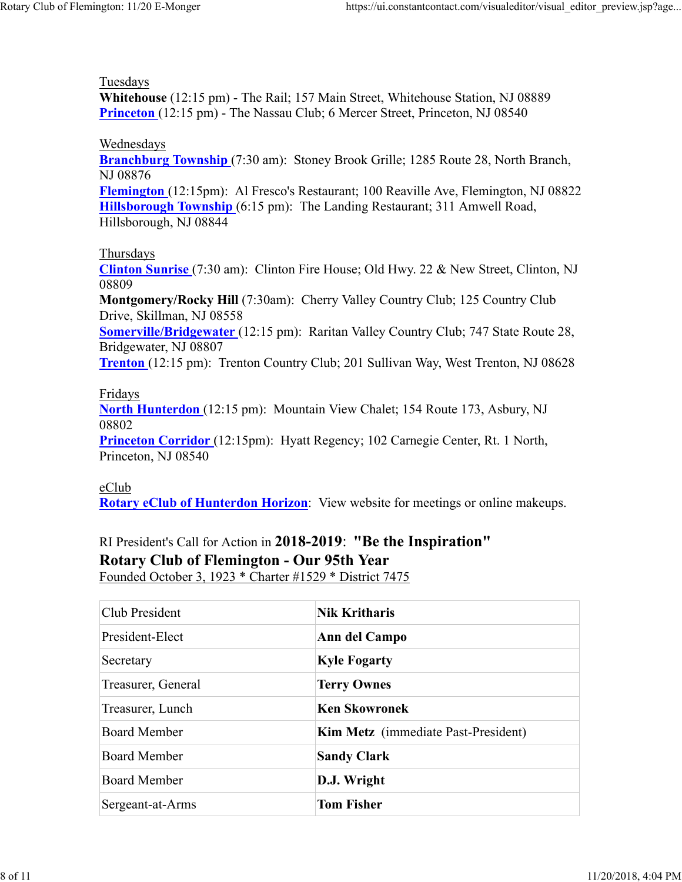#### Tuesdays

**Whitehouse** (12:15 pm) - The Rail; 157 Main Street, Whitehouse Station, NJ 08889 **Princeton** (12:15 pm) - The Nassau Club; 6 Mercer Street, Princeton, NJ 08540

#### Wednesdays

**Branchburg Township** (7:30 am): Stoney Brook Grille; 1285 Route 28, North Branch, NJ 08876

**Flemington** (12:15pm): Al Fresco's Restaurant; 100 Reaville Ave, Flemington, NJ 08822 **Hillsborough Township** (6:15 pm): The Landing Restaurant; 311 Amwell Road, Hillsborough, NJ 08844

#### Thursdays

**Clinton Sunrise** (7:30 am): Clinton Fire House; Old Hwy. 22 & New Street, Clinton, NJ 08809

**Montgomery/Rocky Hill** (7:30am): Cherry Valley Country Club; 125 Country Club Drive, Skillman, NJ 08558

**Somerville/Bridgewater** (12:15 pm): Raritan Valley Country Club; 747 State Route 28, Bridgewater, NJ 08807

**Trenton** (12:15 pm): Trenton Country Club; 201 Sullivan Way, West Trenton, NJ 08628

## Fridays

**North Hunterdon** (12:15 pm): Mountain View Chalet; 154 Route 173, Asbury, NJ 08802

**Princeton Corridor** (12:15pm): Hyatt Regency; 102 Carnegie Center, Rt. 1 North, Princeton, NJ 08540

#### eClub

**Rotary eClub of Hunterdon Horizon**: View website for meetings or online makeups.

# RI President's Call for Action in **2018-2019**: **"Be the Inspiration" Rotary Club of Flemington - Our 95th Year**

Founded October 3, 1923 \* Charter #1529 \* District 7475

| Club President      | <b>Nik Kritharis</b>                       |
|---------------------|--------------------------------------------|
| President-Elect     | Ann del Campo                              |
| Secretary           | <b>Kyle Fogarty</b>                        |
| Treasurer, General  | <b>Terry Ownes</b>                         |
| Treasurer, Lunch    | <b>Ken Skowronek</b>                       |
| <b>Board Member</b> | <b>Kim Metz</b> (immediate Past-President) |
| <b>Board Member</b> | <b>Sandy Clark</b>                         |
| <b>Board Member</b> | D.J. Wright                                |
| Sergeant-at-Arms    | <b>Tom Fisher</b>                          |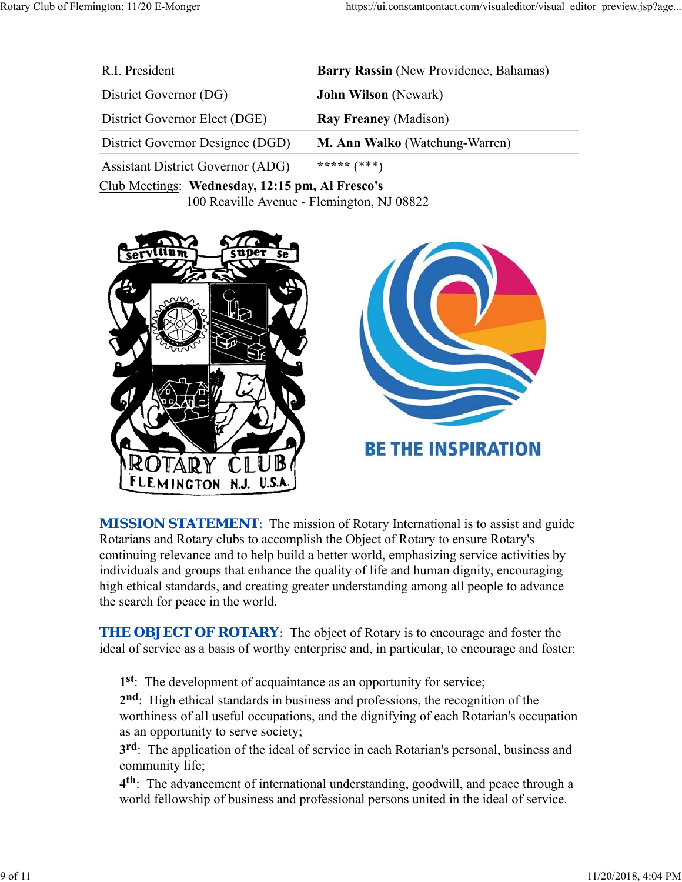| R.I. President                           | Barry Rassin (New Providence, Bahamas) |
|------------------------------------------|----------------------------------------|
| District Governor (DG)                   | <b>John Wilson</b> (Newark)            |
| District Governor Elect (DGE)            | <b>Ray Freaney (Madison)</b>           |
| District Governor Designee (DGD)         | <b>M. Ann Walko</b> (Watchung-Warren)  |
| <b>Assistant District Governor (ADG)</b> | ***** $(***)$                          |

Club Meetings: **Wednesday, 12:15 pm, Al Fresco's** 100 Reaville Avenue - Flemington, NJ 08822



**MISSION STATEMENT:** The mission of Rotary International is to assist and guide Rotarians and Rotary clubs to accomplish the Object of Rotary to ensure Rotary's continuing relevance and to help build a better world, emphasizing service activities by individuals and groups that enhance the quality of life and human dignity, encouraging high ethical standards, and creating greater understanding among all people to advance the search for peace in the world.

**THE OBJECT OF ROTARY:** The object of Rotary is to encourage and foster the ideal of service as a basis of worthy enterprise and, in particular, to encourage and foster:

**1st**: The development of acquaintance as an opportunity for service;

**2nd**: High ethical standards in business and professions, the recognition of the worthiness of all useful occupations, and the dignifying of each Rotarian's occupation as an opportunity to serve society;

**3rd**: The application of the ideal of service in each Rotarian's personal, business and community life;

**4th**: The advancement of international understanding, goodwill, and peace through a world fellowship of business and professional persons united in the ideal of service.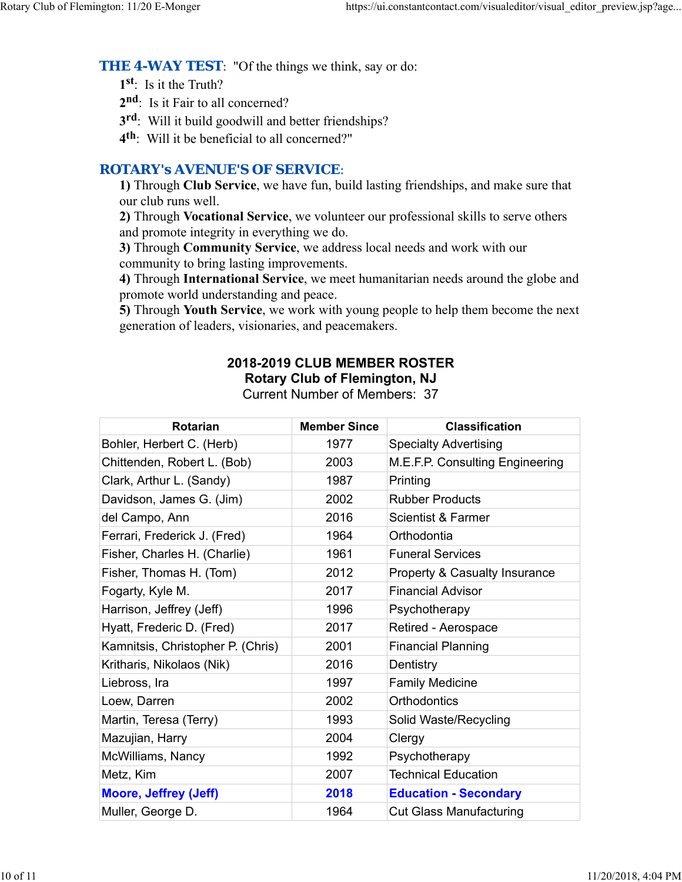**THE 4-WAY TEST:** "Of the things we think, say or do:

**1st**: Is it the Truth?

2<sup>nd</sup>: Is it Fair to all concerned?

**3rd**: Will it build goodwill and better friendships?

**4th**: Will it be beneficial to all concerned?"

## *ROTARY's AVENUE'S OF SERVICE*:

**1)** Through **Club Service**, we have fun, build lasting friendships, and make sure that our club runs well.

**2)** Through **Vocational Service**, we volunteer our professional skills to serve others and promote integrity in everything we do.

**3)** Through **Community Service**, we address local needs and work with our community to bring lasting improvements.

**4)** Through **International Service**, we meet humanitarian needs around the globe and promote world understanding and peace.

**5)** Through **Youth Service**, we work with young people to help them become the next generation of leaders, visionaries, and peacemakers.

# **2018-2019 CLUB MEMBER ROSTER Rotary Club of Flemington, NJ**

Current Number of Members: 37

| <b>Rotarian</b>                   | <b>Member Since</b> | <b>Classification</b>                    |
|-----------------------------------|---------------------|------------------------------------------|
| Bohler, Herbert C. (Herb)         | 1977                | <b>Specialty Advertising</b>             |
| Chittenden, Robert L. (Bob)       | 2003                | M.E.F.P. Consulting Engineering          |
| Clark, Arthur L. (Sandy)          | 1987                | Printing                                 |
| Davidson, James G. (Jim)          | 2002                | <b>Rubber Products</b>                   |
| del Campo, Ann                    | 2016                | <b>Scientist &amp; Farmer</b>            |
| Ferrari, Frederick J. (Fred)      | 1964                | Orthodontia                              |
| Fisher, Charles H. (Charlie)      | 1961                | <b>Funeral Services</b>                  |
| Fisher, Thomas H. (Tom)           | 2012                | <b>Property &amp; Casualty Insurance</b> |
| Fogarty, Kyle M.                  | 2017                | <b>Financial Advisor</b>                 |
| Harrison, Jeffrey (Jeff)          | 1996                | Psychotherapy                            |
| Hyatt, Frederic D. (Fred)         | 2017                | Retired - Aerospace                      |
| Kamnitsis, Christopher P. (Chris) | 2001                | <b>Financial Planning</b>                |
| Kritharis, Nikolaos (Nik)         | 2016                | Dentistry                                |
| Liebross, Ira                     | 1997                | <b>Family Medicine</b>                   |
| Loew, Darren                      | 2002                | <b>Orthodontics</b>                      |
| Martin, Teresa (Terry)            | 1993                | Solid Waste/Recycling                    |
| Mazujian, Harry                   | 2004                | Clergy                                   |
| McWilliams, Nancy                 | 1992                | Psychotherapy                            |
| Metz, Kim                         | 2007                | <b>Technical Education</b>               |
| <b>Moore, Jeffrey (Jeff)</b>      | 2018                | <b>Education - Secondary</b>             |
| Muller, George D.                 | 1964                | <b>Cut Glass Manufacturing</b>           |